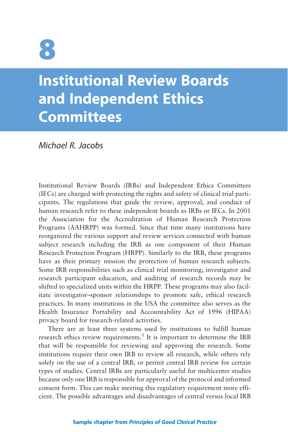# 8

## Institutional Review Boards and Independent Ethics **Committees**

Michael R. Jacobs

Institutional Review Boards (IRBs) and Independent Ethics Committees (IECs) are charged with protecting the rights and safety of clinical trial participants. The regulations that guide the review, approval, and conduct of human research refer to these independent boards as IRBs or IECs. In 2001 the Association for the Accreditation of Human Research Protection Programs (AAHRPP) was formed. Since that time many institutions have reorganized the various support and review services connected with human subject research including the IRB as one component of their Human Research Protection Program (HRPP). Similarly to the IRB, these programs have as their primary mission the protection of human research subjects. Some IRB responsibilities such as clinical trial monitoring, investigator and research participant education, and auditing of research records may be shifted to specialized units within the HRPP. These programs may also facilitate investigator–sponsor relationships to promote safe, ethical research practices. In many institutions in the USA the committee also serves as the Health Insurance Portability and Accountability Act of 1996 (HIPAA) privacy board for research-related activities.

There are at least three systems used by institutions to fulfill human research ethics review requirements.<sup>[1](#page-24-0)</sup> [It is important to determine the IRB](#page-24-0) [that will be responsible for reviewing and approving the research. Some](#page-24-0) [institutions require their own IRB to review all research, while others rely](#page-24-0) [solely on the use of a central IRB, or permit central IRB review for certain](#page-24-0) [types of studies. Central IRBs are particularly useful for multicenter studies](#page-24-0) [because only one IRB is responsible for approval of the protocol and informed](#page-24-0) [consent form. This can make meeting this regulatory requirement more effi](#page-24-0)[cient. The possible advantages and disadvantages of central versus local IRB](#page-24-0)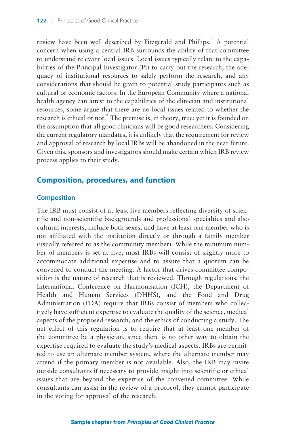[review](#page-24-0) [have](#page-24-0) [been](#page-24-0) [well](#page-24-0) [described](#page-24-0) [by](#page-24-0) [Fitzgerald](#page-24-0) [and](#page-24-0) Phillips.<sup>1</sup> [A potential](#page-24-0) [concern when using a central IRB surrounds the ability of that committee](#page-24-0) [to understand relevant local issues. Local issues typically relate to the capa](#page-24-0)[bilities of the Principal Investigator \(PI\) to carry out the research, the ade](#page-24-0)[quacy of institutional resources to safely perform the research, and any](#page-24-0) [considerations that should be given to potential study participants such as](#page-24-0) [cultural or economic factors. In the European Community where a national](#page-24-0) [health agency can attest to the capabilities of the clinician and institutional](#page-24-0) [resources, some argue that there are no local issues related to whether the](#page-24-0) [research](#page-24-0) [is](#page-24-0) [ethical](#page-24-0) [or](#page-24-0) [not.](#page-24-0)<sup>2</sup> [The premise is, in theory, true; yet it is founded on](#page-24-0) [the assumption that all good clinicians will be good researchers. Considering](#page-24-0) [the current regulatory mandates, it is unlikely that the requirement for review](#page-24-0) [and approval of research by local IRBs will be abandoned in the near future.](#page-24-0) [Given this, sponsors and investigators should make certain which IRB review](#page-24-0) [process applies to their study.](#page-24-0)

## Composition, procedures, and function

## **Composition**

The IRB must consist of at least five members reflecting diversity of scientific and non-scientific backgrounds and professional specialties and also cultural interests, include both sexes, and have at least one member who is not affiliated with the institution directly or through a family member (usually referred to as the community member). While the minimum number of members is set at five, most IRBs will consist of slightly more to accommodate additional expertise and to assure that a quorum can be convened to conduct the meeting. A factor that drives committee composition is the nature of research that is reviewed. Through regulations, the International Conference on Harmonisation (ICH), the Department of Health and Human Services (DHHS), and the Food and Drug Administration (FDA) require that IRBs consist of members who collectively have sufficient expertise to evaluate the quality of the science, medical aspects of the proposed research, and the ethics of conducting a study. The net effect of this regulation is to require that at least one member of the committee be a physician, since there is no other way to obtain the expertise required to evaluate the study's medical aspects. IRBs are permitted to use an alternate member system, where the alternate member may attend if the primary member is not available. Also, the IRB may invite outside consultants if necessary to provide insight into scientific or ethical issues that are beyond the expertise of the convened committee. While consultants can assist in the review of a protocol, they cannot participate in the voting for approval of the research.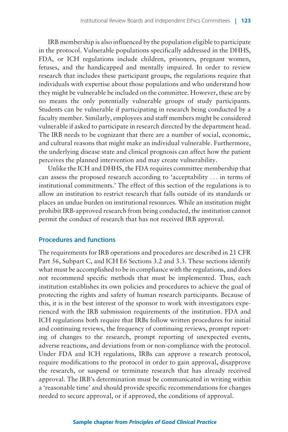IRB membership is also influenced by the population eligible to participate in the protocol. Vulnerable populations specifically addressed in the DHHS, FDA, or ICH regulations include children, prisoners, pregnant women, fetuses, and the handicapped and mentally impaired. In order to review research that includes these participant groups, the regulations require that individuals with expertise about those populations and who understand how they might be vulnerable be included on the committee. However, these are by no means the only potentially vulnerable groups of study participants. Students can be vulnerable if participating in research being conducted by a faculty member. Similarly, employees and staff members might be considered vulnerable if asked to participate in research directed by the department head. The IRB needs to be cognizant that there are a number of social, economic, and cultural reasons that might make an individual vulnerable. Furthermore, the underlying disease state and clinical prognosis can affect how the patient perceives the planned intervention and may create vulnerability.

Unlike the ICH and DHHS, the FDA requires committee membership that can assess the proposed research according to 'acceptability ... in terms of institutional commitments.' The effect of this section of the regulations is to allow an institution to restrict research that falls outside of its standards or places an undue burden on institutional resources. While an institution might prohibit IRB-approved research from being conducted, the institution cannot permit the conduct of research that has not received IRB approval.

## Procedures and functions

The requirements for IRB operations and procedures are described in 21 CFR Part 56, Subpart C, and ICH E6 Sections 3.2 and 3.3. These sections identify what must be accomplished to be in compliance with the regulations, and does not recommend specific methods that must be implemented. Thus, each institution establishes its own policies and procedures to achieve the goal of protecting the rights and safety of human research participants. Because of this, it is in the best interest of the sponsor to work with investigators experienced with the IRB submission requirements of the institution. FDA and ICH regulations both require that IRBs follow written procedures for initial and continuing reviews, the frequency of continuing reviews, prompt reporting of changes to the research, prompt reporting of unexpected events, adverse reactions, and deviations from or non-compliance with the protocol. Under FDA and ICH regulations, IRBs can approve a research protocol, require modifications to the protocol in order to gain approval, disapprove the research, or suspend or terminate research that has already received approval. The IRB's determination must be communicated in writing within a 'reasonable time' and should provide specific recommendations for changes needed to secure approval, or if approved, the conditions of approval.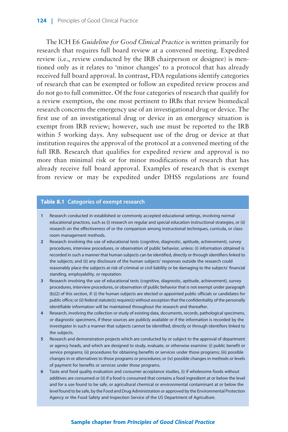<span id="page-3-0"></span>The ICH E6 Guideline for Good Clinical Practice is written primarily for research that requires full board review at a convened meeting. Expedited review (i.e., review conducted by the IRB chairperson or designee) is mentioned only as it relates to 'minor changes' to a protocol that has already received full board approval. In contrast, FDA regulations identify categories of research that can be exempted or follow an expedited review process and do not go to full committee. Of the four categories of research that qualify for a review exemption, the one most pertinent to IRBs that review biomedical research concerns the emergency use of an investigational drug or device. The first use of an investigational drug or device in an emergency situation is exempt from IRB review; however, such use must be reported to the IRB within 5 working days. Any subsequent use of the drug or device at that institution requires the approval of the protocol at a convened meeting of the full IRB. Research that qualifies for expedited review and approval is no more than minimal risk or for minor modifications of research that has already receive full board approval. Examples of research that is exempt from review or may be expedited under DHSS regulations are found

### Table 8.1 Categories of exempt research

- 1 Research conducted in established or commonly accepted educational settings, involving normal educational practices, such as (i) research on regular and special education instructional strategies, or (ii) research on the effectiveness of or the comparison among instructional techniques, curricula, or classroom management methods.
- 2 Research involving the use of educational tests (cognitive, diagnostic, aptitude, achievement), survey procedures, interview procedures, or observation of public behavior, unless: (i) information obtained is recorded in such a manner that human subjects can be identified, directly or through identifiers linked to the subjects; and (ii) any disclosure of the human subjects' responses outside the research could reasonably place the subjects at risk of criminal or civil liability or be damaging to the subjects' financial standing, employability, or reputation.
- 3 Research involving the use of educational tests (cognitive, diagnostic, aptitude, achievement), survey procedures, interview procedures, or observation of public behavior that is not exempt under paragraph (b)(2) of this section, if: (i) the human subjects are elected or appointed public officials or candidates for public office; or (ii) federal statute(s) require(s) without exception that the confidentiality of the personally identifiable information will be maintained throughout the research and thereafter.
- 4 Research, involving the collection or study of existing data, documents, records, pathological specimens, or diagnostic specimens, if these sources are publicly available or if the information is recorded by the investigator in such a manner that subjects cannot be identified, directly or through identifiers linked to the subjects.
- 5 Research and demonstration projects which are conducted by or subject to the approval of department or agency heads, and which are designed to study, evaluate, or otherwise examine: (i) public benefit or service programs; (ii) procedures for obtaining benefits or services under those programs; (iii) possible changes in or alternatives to those programs or procedures; or (iv) possible changes in methods or levels of payment for benefits or services under those programs.
- 6 Taste and food quality evaluation and consumer acceptance studies, (i) if wholesome foods without additives are consumed or (ii) if a food is consumed that contains a food ingredient at or below the level and for a use found to be safe, or agricultural chemical or environmental contaminant at or below the level found to be safe, by the Food and Drug Administration or approved by the Environmental Protection Agency or the Food Safety and Inspection Service of the US Department of Agriculture.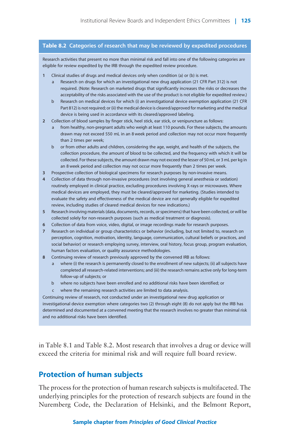#### Table 8.2 Categories of research that may be reviewed by expedited procedures

Research activities that present no more than minimal risk and fall into one of the following categories are eligible for review expedited by the IRB through the expedited review procedure.

- 1 Clinical studies of drugs and medical devices only when condition (a) or (b) is met.
	- a Research on drugs for which an investigational new drug application (21 CFR Part 312) is not required. (Note: Research on marketed drugs that significantly increases the risks or decreases the acceptability of the risks associated with the use of the product is not eligible for expedited review.)
	- b Research on medical devices for which (i) an investigational device exemption application (21 CFR Part 812) is not required; or (ii) the medical device is cleared/approved for marketing and the medical device is being used in accordance with its cleared/approved labeling.
- 2 Collection of blood samples by finger stick, heel stick, ear stick, or venipuncture as follows:
	- a from healthy, non-pregnant adults who weigh at least 110 pounds. For these subjects, the amounts drawn may not exceed 550 mL in an 8 week period and collection may not occur more frequently than 2 times per week;
	- b or from other adults and children, considering the age, weight, and health of the subjects, the collection procedure, the amount of blood to be collected, and the frequency with which it will be collected. For these subjects, the amount drawn may not exceed the lesser of 50 mL or 3 mL per kg in an 8 week period and collection may not occur more frequently than 2 times per week.
- 3 Prospective collection of biological specimens for research purposes by non-invasive means.
- 4 Collection of data through non-invasive procedures (not involving general anesthesia or sedation) routinely employed in clinical practice, excluding procedures involving X-rays or microwaves. Where medical devices are employed, they must be cleared/approved for marketing. (Studies intended to evaluate the safety and effectiveness of the medical device are not generally eligible for expedited review, including studies of cleared medical devices for new indications.)
- 5 Research involving materials (data, documents, records, or specimens) that have been collected, or will be collected solely for non-research purposes (such as medical treatment or diagnosis).
- 6 Collection of data from voice, video, digital, or image recordings made for research purposes.
- 7 Research on individual or group characteristics or behavior (including, but not limited to, research on perception, cognition, motivation, identity, language, communication, cultural beliefs or practices, and social behavior) or research employing survey, interview, oral history, focus group, program evaluation, human factors evaluation, or quality assurance methodologies.
- 8 Continuing review of research previously approved by the convened IRB as follows:
	- a where (i) the research is permanently closed to the enrollment of new subjects; (ii) all subjects have completed all research-related interventions; and (iii) the research remains active only for long-term follow-up of subjects; or
	- b where no subjects have been enrolled and no additional risks have been identified; or
	- c where the remaining research activities are limited to data analysis.

Continuing review of research, not conducted under an investigational new drug application or investigational device exemption where categories two (2) through eight (8) do not apply but the IRB has determined and documented at a convened meeting that the research involves no greater than minimal risk and no additional risks have been identified.

in [Table 8.1](#page-3-0) and Table 8.2. Most research that involves a drug or device will exceed the criteria for minimal risk and will require full board review.

## Protection of human subjects

The process for the protection of human research subjects is multifaceted. The underlying principles for the protection of research subjects are found in the Nuremberg Code, the Declaration of Helsinki, and the Belmont Report,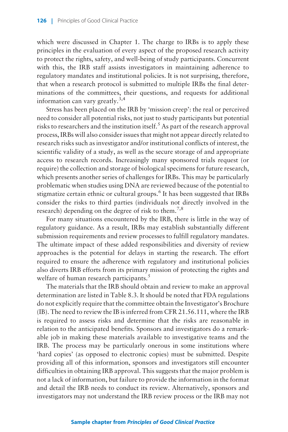which were discussed in Chapter 1. The charge to IRBs is to apply these principles in the evaluation of every aspect of the proposed research activity to protect the rights, safety, and well-being of study participants. Concurrent with this, the IRB staff assists investigators in maintaining adherence to regulatory mandates and institutional policies. It is not surprising, therefore, that when a research protocol is submitted to multiple IRBs the final determinations of the committees, their questions, and requests for additional information can vary greatly.<sup>[3,4](#page-24-0)</sup>

Stress has been placed on the IRB by 'mission creep': the real or perceived need to consider all potential risks, not just to study participants but potential risks to researchers and the institution itself.<sup>[5](#page-24-0)</sup> [As part of the research approval](#page-24-0) [process, IRBs will also consider issues that might not appear directly related to](#page-24-0) [research risks such as investigator and/or institutional conflicts of interest, the](#page-24-0) [scientific validity of a study, as well as the secure storage of and appropriate](#page-24-0) [access to research records. Increasingly many sponsored trials request \(or](#page-24-0) [require\) the collection and storage of biological specimens for future research,](#page-24-0) [which presents another series of challenges for IRBs. This may be particularly](#page-24-0) [problematic when studies using DNA are reviewed because of the potential to](#page-24-0) [stigmatize](#page-24-0) [certain](#page-24-0) [ethnic](#page-24-0) [or](#page-24-0) [cultural](#page-24-0) [groups.](#page-24-0)<sup>6</sup> [It has been suggested that IRBs](#page-24-0) [consider the risks to third parties \(individuals not directly involved in the](#page-24-0) [research\)](#page-25-0) [depending](#page-25-0) [on](#page-25-0) [the](#page-25-0) [degree](#page-25-0) [of](#page-25-0) [risk](#page-25-0) [to](#page-25-0) them.<sup>7,8</sup>

For many situations encountered by the IRB, there is little in the way of regulatory guidance. As a result, IRBs may establish substantially different submission requirements and review processes to fulfill regulatory mandates. The ultimate impact of these added responsibilities and diversity of review approaches is the potential for delays in starting the research. The effort required to ensure the adherence with regulatory and institutional policies also diverts IRB efforts from its primary mission of protecting the rights and welfare of human research participants.<sup>[5](#page-24-0)</sup>

The materials that the IRB should obtain and review to make an approval determination are listed in [Table 8.3](#page-6-0). It should be noted that FDA regulations do not explicitly require that the committee obtain the Investigator's Brochure (IB). The need to review the IB is inferred from CFR 21.56.111, where the IRB is required to assess risks and determine that the risks are reasonable in relation to the anticipated benefits. Sponsors and investigators do a remarkable job in making these materials available to investigative teams and the IRB. The process may be particularly onerous in some institutions where 'hard copies' (as opposed to electronic copies) must be submitted. Despite providing all of this information, sponsors and investigators still encounter difficulties in obtaining IRB approval. This suggests that the major problem is not a lack of information, but failure to provide the information in the format and detail the IRB needs to conduct its review. Alternatively, sponsors and investigators may not understand the IRB review process or the IRB may not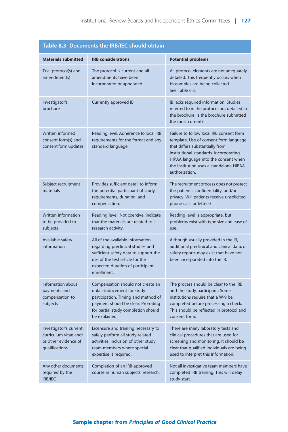<span id="page-6-0"></span>

| Table 8.3 Documents the IRB/IEC should obtain                                             |                                                                                                                                                                                                        |                                                                                                                                                                                                                                                                      |
|-------------------------------------------------------------------------------------------|--------------------------------------------------------------------------------------------------------------------------------------------------------------------------------------------------------|----------------------------------------------------------------------------------------------------------------------------------------------------------------------------------------------------------------------------------------------------------------------|
| <b>Materials submitted</b>                                                                | <b>IRB</b> considerations                                                                                                                                                                              | <b>Potential problems</b>                                                                                                                                                                                                                                            |
| Trial protocol(s) and<br>amendment(s)                                                     | The protocol is current and all<br>amendments have been<br>incorporated or appended.                                                                                                                   | All protocol elements are not adequately<br>detailed. This frequently occurs when<br>biosamples are being collected.<br>See Table 6.3.                                                                                                                               |
| Investigator's<br>brochure                                                                | Currently approved IB                                                                                                                                                                                  | IB lacks required information. Studies<br>referred to in the protocol not detailed in<br>the brochure. Is the brochure submitted<br>the most current?                                                                                                                |
| Written informed<br>consent form(s) and<br>consent form updates                           | Reading level. Adherence to local IRB<br>requirements for the format and any<br>standard language.                                                                                                     | Failure to follow local IRB consent form<br>template. Use of consent form language<br>that differs substantially from<br>institutional standards. Incorporating<br>HIPAA language into the consent when<br>the institution uses a standalone HIPAA<br>authorization. |
| Subject recruitment<br>materials                                                          | Provides sufficient detail to inform<br>the potential participant of study<br>requirements, duration, and<br>compensation.                                                                             | The recruitment process does not protect<br>the patient's confidentiality, and/or<br>privacy. Will patients receive unsolicited<br>phone calls or letters?                                                                                                           |
| Written information<br>to be provided to<br>subjects                                      | Reading level. Not coercive. Indicate<br>that the materials are related to a<br>research activity.                                                                                                     | Reading level is appropriate, but<br>problems exist with type size and ease of<br>use.                                                                                                                                                                               |
| Available safety<br>information                                                           | All of the available information<br>regarding preclinical studies and<br>sufficient safety data to support the<br>use of the test article for the<br>expected duration of participant<br>enrollment.   | Although usually provided in the IB,<br>additional preclinical and clinical data, or<br>safety reports may exist that have not<br>been incorporated into the IB.                                                                                                     |
| Information about<br>payments and<br>compensation to<br>subjects                          | Compensation should not create an<br>unfair inducement for study<br>participation. Timing and method of<br>payment should be clear. Pro-rating<br>for partial study completion should<br>be explained. | The process should be clear to the IRB<br>and the study participant. Some<br>institutions require that a W-9 be<br>completed before processing a check.<br>This should be reflected in protocol and<br>consent form.                                                 |
| Investigator's current<br>curriculum vitae and/<br>or other evidence of<br>qualifications | Licensure and training necessary to<br>safely perform all study-related<br>activities. Inclusion of other study<br>team members where special<br>expertise is required.                                | There are many laboratory tests and<br>clinical procedures that are used for<br>screening and monitoring. It should be<br>clear that qualified individuals are being<br>used to interpret this information.                                                          |
| Any other documents<br>required by the<br>IRB/IEC                                         | Completion of an IRB-approved<br>course in human subjects' research.                                                                                                                                   | Not all investigative team members have<br>completed IRB training. This will delay<br>study start.                                                                                                                                                                   |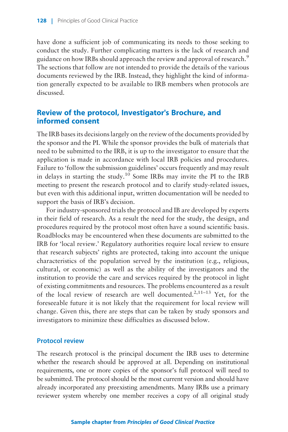have done a sufficient job of communicating its needs to those seeking to conduct the study. Further complicating matters is the lack of research and guidance on how IRBs should approach the review and approval of research.<sup>[9](#page-25-0)</sup> [The sections that follow are not intended to provide the details of the various](#page-25-0) [documents reviewed by the IRB. Instead, they highlight the kind of informa](#page-25-0)[tion generally expected to be available to IRB members when protocols are](#page-25-0) [discussed.](#page-25-0)

## Review of the protocol, Investigator's Brochure, and informed consent

The IRB bases its decisions largely on the review of the documents provided by the sponsor and the PI. While the sponsor provides the bulk of materials that need to be submitted to the IRB, it is up to the investigator to ensure that the application is made in accordance with local IRB policies and procedures. Failure to 'follow the submission guidelines' occurs frequently and may result in delays in starting the study.<sup>[10](#page-25-0)</sup> [Some IRBs may invite the PI to the IRB](#page-25-0) [meeting to present the research protocol and to clarify study-related issues,](#page-25-0) [but even with this additional input, written documentation will be needed to](#page-25-0) [support the basis of IRB's decision.](#page-25-0)

For industry-sponsored trials the protocol and IB are developed by experts in their field of research. As a result the need for the study, the design, and procedures required by the protocol most often have a sound scientific basis. Roadblocks may be encountered when these documents are submitted to the IRB for 'local review.' Regulatory authorities require local review to ensure that research subjects' rights are protected, taking into account the unique characteristics of the population served by the institution (e.g., religious, cultural, or economic) as well as the ability of the investigators and the institution to provide the care and services required by the protocol in light of existing commitments and resources. The problems encountered as a result of the local review of research are well documented.<sup>2,11-13</sup> [Yet, for the](#page-24-0) [foreseeable future it is not likely that the requirement for local review will](#page-24-0) [change. Given this, there are steps that can be taken by study sponsors and](#page-24-0) [investigators to minimize these difficulties as discussed below.](#page-24-0)

## Protocol review

The research protocol is the principal document the IRB uses to determine whether the research should be approved at all. Depending on institutional requirements, one or more copies of the sponsor's full protocol will need to be submitted. The protocol should be the most current version and should have already incorporated any preexisting amendments. Many IRBs use a primary reviewer system whereby one member receives a copy of all original study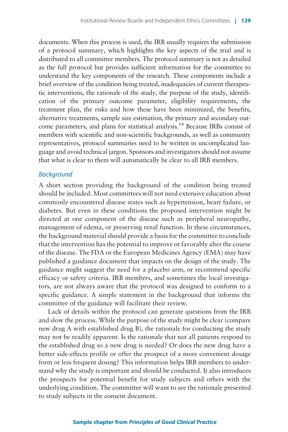documents. When this process is used, the IRB usually requires the submission of a protocol summary, which highlights the key aspects of the trial and is distributed to all committee members. The protocol summary is not as detailed as the full protocol but provides sufficient information for the committee to understand the key components of the research. These components include a brief overview of the condition being treated, inadequacies of current therapeutic interventions, the rationale of the study, the purpose of the study, identification of the primary outcome parameter, eligibility requirements, the treatment plan, the risks and how these have been minimized, the benefits, alternative treatments, sample size estimation, the primary and secondary outcome parameters, and plans for statistical analysis[.14](#page-25-0) [Because IRBs consist of](#page-25-0) [members with scientific and non-scientific backgrounds, as well as community](#page-25-0) [representatives, protocol summaries need to be written in uncomplicated lan](#page-25-0)[guage and avoid technical jargon. Sponsors and investigators should not assume](#page-25-0) [that what is clear to them will automatically be clear to all IRB members.](#page-25-0)

## **Background**

A short section providing the background of the condition being treated should be included. Most committees will not need extensive education about commonly encountered disease states such as hypertension, heart failure, or diabetes. But even in these conditions the proposed intervention might be directed at one component of the disease such as peripheral neuropathy, management of edema, or preserving renal function. In these circumstances, the background material should provide a basis for the committee to conclude that the intervention has the potential to improve or favorably alter the course of the disease. The FDA or the European Medicines Agency (EMA) may have published a guidance document that impacts on the design of the study. The guidance might suggest the need for a placebo arm, or recommend specific efficacy or safety criteria. IRB members, and sometimes the local investigators, are not always aware that the protocol was designed to conform to a specific guidance. A simple statement in the background that informs the committee of the guidance will facilitate their review.

Lack of details within the protocol can generate questions from the IRB and slow the process. While the purpose of the study might be clear (compare new drug A with established drug B), the rationale for conducting the study may not be readily apparent. Is the rationale that not all patients respond to the established drug so a new drug is needed? Or does the new drug have a better side-effects profile or offer the prospect of a more convenient dosage form or less frequent dosing? This information helps IRB members to understand why the study is important and should be conducted. It also introduces the prospects for potential benefit for study subjects and others with the underlying condition. The committee will want to see the rationale presented to study subjects in the consent document.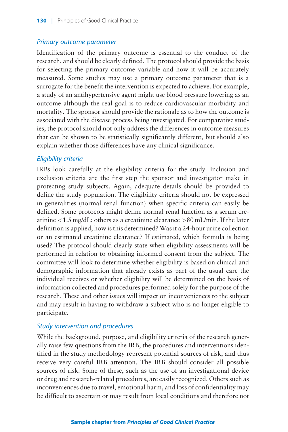## Primary outcome parameter

Identification of the primary outcome is essential to the conduct of the research, and should be clearly defined. The protocol should provide the basis for selecting the primary outcome variable and how it will be accurately measured. Some studies may use a primary outcome parameter that is a surrogate for the benefit the intervention is expected to achieve. For example, a study of an antihypertensive agent might use blood pressure lowering as an outcome although the real goal is to reduce cardiovascular morbidity and mortality. The sponsor should provide the rationale as to how the outcome is associated with the disease process being investigated. For comparative studies, the protocol should not only address the differences in outcome measures that can be shown to be statistically significantly different, but should also explain whether those differences have any clinical significance.

## Eligibility criteria

IRBs look carefully at the eligibility criteria for the study. Inclusion and exclusion criteria are the first step the sponsor and investigator make in protecting study subjects. Again, adequate details should be provided to define the study population. The eligibility criteria should not be expressed in generalities (normal renal function) when specific criteria can easily be defined. Some protocols might define normal renal function as a serum creatinine <1.5 mg/dL; others as a creatinine clearance >80 mL/min. If the later definition is applied, how is this determined? Was it a 24-hour urine collection or an estimated creatinine clearance? If estimated, which formula is being used? The protocol should clearly state when eligibility assessments will be performed in relation to obtaining informed consent from the subject. The committee will look to determine whether eligibility is based on clinical and demographic information that already exists as part of the usual care the individual receives or whether eligibility will be determined on the basis of information collected and procedures performed solely for the purpose of the research. These and other issues will impact on inconveniences to the subject and may result in having to withdraw a subject who is no longer eligible to participate.

## Study intervention and procedures

While the background, purpose, and eligibility criteria of the research generally raise few questions from the IRB, the procedures and interventions identified in the study methodology represent potential sources of risk, and thus receive very careful IRB attention. The IRB should consider all possible sources of risk. Some of these, such as the use of an investigational device or drug and research-related procedures, are easily recognized. Others such as inconveniences due to travel, emotional harm, and loss of confidentiality may be difficult to ascertain or may result from local conditions and therefore not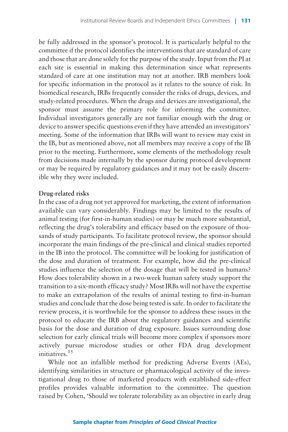be fully addressed in the sponsor's protocol. It is particularly helpful to the committee if the protocol identifies the interventions that are standard of care and those that are done solely for the purpose of the study. Input from the PI at each site is essential in making this determination since what represents standard of care at one institution may not at another. IRB members look for specific information in the protocol as it relates to the source of risk. In biomedical research, IRBs frequently consider the risks of drugs, devices, and study-related procedures. When the drugs and devices are investigational, the sponsor must assume the primary role for informing the committee. Individual investigators generally are not familiar enough with the drug or device to answer specific questions even if they have attended an investigators' meeting. Some of the information that IRBs will want to review may exist in the IB, but as mentioned above, not all members may receive a copy of the IB prior to the meeting. Furthermore, some elements of the methodology result from decisions made internally by the sponsor during protocol development or may be required by regulatory guidances and it may not be easily discernible why they were included.

## Drug-related risks

In the case of a drug not yet approved for marketing, the extent of information available can vary considerably. Findings may be limited to the results of animal testing (for first-in-human studies) or may be much more substantial, reflecting the drug's tolerability and efficacy based on the exposure of thousands of study participants. To facilitate protocol review, the sponsor should incorporate the main findings of the pre-clinical and clinical studies reported in the IB into the protocol. The committee will be looking for justification of the dose and duration of treatment. For example, how did the pre-clinical studies influence the selection of the dosage that will be tested in humans? How does tolerability shown in a two-week human safety study support the transition to a six-month efficacy study? Most IRBs will not have the expertise to make an extrapolation of the results of animal testing to first-in-human studies and conclude that the dose being tested is safe. In order to facilitate the review process, it is worthwhile for the sponsor to address these issues in the protocol to educate the IRB about the regulatory guidances and scientific basis for the dose and duration of drug exposure. Issues surrounding dose selection for early clinical trials will become more complex if sponsors more actively pursue microdose studies or other FDA drug development initiatives.[15](#page-25-0)

While not an infallible method for predicting Adverse Events (AEs), identifying similarities in structure or pharmacological activity of the investigational drug to those of marketed products with established side-effect profiles provides valuable information to the committee. The question raised by Cohen, 'Should we tolerate tolerability as an objective in early drug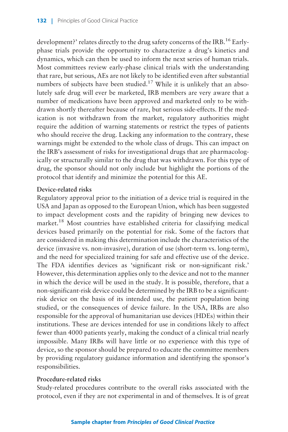development?' relates directly to the drug safety concerns of the IRB.<sup>[16](#page-25-0)</sup> [Early](#page-25-0)[phase trials provide the opportunity to characterize a drug's kinetics and](#page-25-0) [dynamics, which can then be used to inform the next series of human trials.](#page-25-0) [Most committees review early-phase clinical trials with the understanding](#page-25-0) [that rare, but serious, AEs are not likely to be identified even after substantial](#page-25-0) [numbers](#page-25-0) [of](#page-25-0) [subjects](#page-25-0) [have](#page-25-0) [been](#page-25-0) [studied.](#page-25-0)<sup>17</sup> [While it is unlikely that an abso](#page-25-0)[lutely safe drug will ever be marketed, IRB members are very aware that a](#page-25-0) [number of medications have been approved and marketed only to be with](#page-25-0)[drawn shortly thereafter because of rare, but serious side-effects. If the med](#page-25-0)[ication is not withdrawn from the market, regulatory authorities might](#page-25-0) [require the addition of warning statements or restrict the types of patients](#page-25-0) [who should receive the drug. Lacking any information to the contrary, these](#page-25-0) [warnings might be extended to the whole class of drugs. This can impact on](#page-25-0) [the IRB](#page-25-0)'[s assessment of risks for investigational drugs that are pharmacolog](#page-25-0)[ically or structurally similar to the drug that was withdrawn. For this type of](#page-25-0) [drug, the sponsor should not only include but highlight the portions of the](#page-25-0) [protocol that identify and minimize the potential for this AE.](#page-25-0)

## Device-related risks

Regulatory approval prior to the initiation of a device trial is required in the USA and Japan as opposed to the European Union, which has been suggested to impact development costs and the rapidity of bringing new devices to market.<sup>[18](#page-25-0)</sup> [Most countries have established criteria for classifying medical](#page-25-0) [devices based primarily on the potential for risk. Some of the factors that](#page-25-0) [are considered in making this determination include the characteristics of the](#page-25-0) [device \(invasive vs. non-invasive\), duration of use \(short-term vs. long-term\),](#page-25-0) [and the need for specialized training for safe and effective use of the device.](#page-25-0) [The FDA identifies devices as](#page-25-0) '[significant risk or non-significant risk.'](#page-25-0) [However, this determination applies only to the device and not to the manner](#page-25-0) [in which the device will be used in the study. It is possible, therefore, that a](#page-25-0) [non-significant-risk device could be determined by the IRB to be a significant](#page-25-0)[risk device on the basis of its intended use, the patient population being](#page-25-0) [studied, or the consequences of device failure. In the USA, IRBs are also](#page-25-0) [responsible for the approval of humanitarian use devices \(HDEs\) within their](#page-25-0) [institutions. These are devices intended for use in conditions likely to affect](#page-25-0) [fewer than 4000 patients yearly, making the conduct of a clinical trial nearly](#page-25-0) [impossible. Many IRBs will have little or no experience with this type of](#page-25-0) [device, so the sponsor should be prepared to educate the committee members](#page-25-0) [by providing regulatory guidance information and identifying the sponsor](#page-25-0)'[s](#page-25-0) [responsibilities.](#page-25-0)

## Procedure-related risks

Study-related procedures contribute to the overall risks associated with the protocol, even if they are not experimental in and of themselves. It is of great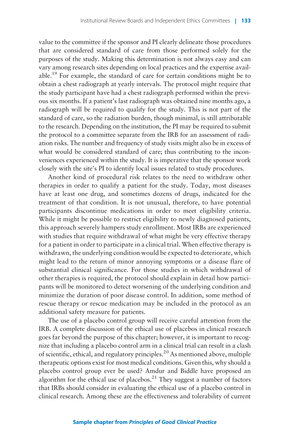value to the committee if the sponsor and PI clearly delineate those procedures that are considered standard of care from those performed solely for the purposes of the study. Making this determination is not always easy and can vary among research sites depending on local practices and the expertise available.[19](#page-25-0) [For example, the standard of care for certain conditions might be to](#page-25-0) [obtain a chest radiograph at yearly intervals. The protocol might require that](#page-25-0) [the study participant have had a chest radiograph performed within the previ](#page-25-0)[ous six months. If a patient](#page-25-0)'[s last radiograph was obtained nine months ago, a](#page-25-0) [radiograph will be required to qualify for the study. This is not part of the](#page-25-0) [standard of care, so the radiation burden, though minimal, is still attributable](#page-25-0) [to the research. Depending on the institution, the PI may be required to submit](#page-25-0) [the protocol to a committee separate from the IRB for an assessment of radi](#page-25-0)[ation risks. The number and frequency of study visits might also be in excess of](#page-25-0) [what would be considered standard of care; thus contributing to the incon](#page-25-0)[veniences experienced within the study. It is imperative that the sponsor work](#page-25-0) [closely with the site's PI to identify local issues related to study procedures.](#page-25-0)

Another kind of procedural risk relates to the need to withdraw other therapies in order to qualify a patient for the study. Today, most diseases have at least one drug, and sometimes dozens of drugs, indicated for the treatment of that condition. It is not unusual, therefore, to have potential participants discontinue medications in order to meet eligibility criteria. While it might be possible to restrict eligibility to newly diagnosed patients, this approach severely hampers study enrollment. Most IRBs are experienced with studies that require withdrawal of what might be very effective therapy for a patient in order to participate in a clinical trial. When effective therapy is withdrawn, the underlying condition would be expected to deteriorate, which might lead to the return of minor annoying symptoms or a disease flare of substantial clinical significance. For those studies in which withdrawal of other therapies is required, the protocol should explain in detail how participants will be monitored to detect worsening of the underlying condition and minimize the duration of poor disease control. In addition, some method of rescue therapy or rescue medication may be included in the protocol as an additional safety measure for patients.

The use of a placebo control group will receive careful attention from the IRB. A complete discussion of the ethical use of placebos in clinical research goes far beyond the purpose of this chapter; however, it is important to recognize that including a placebo control arm in a clinical trial can result in a clash of scientific, ethical, and regulatory principles[.20](#page-25-0) [As mentioned above, multiple](#page-25-0) [therapeutic options exist for most medical conditions. Given this, why should a](#page-25-0) [placebo control group ever be used? Amdur and Biddle have proposed an](#page-25-0) [algorithm](#page-25-0) [for](#page-25-0) [the](#page-25-0) [ethical](#page-25-0) [use](#page-25-0) [of](#page-25-0) placebos.<sup>21</sup> [They suggest a number of factors](#page-25-0) [that IRBs should consider in evaluating the ethical use of a placebo control in](#page-25-0) [clinical research. Among these are the effectiveness and tolerability of current](#page-25-0)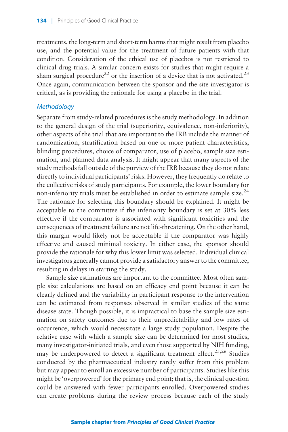[treatments, the long-term and short-term harms that might result from placebo](#page-25-0) [use, and the potential value for the treatment of future patients with that](#page-25-0) [condition. Consideration of the ethical use of placebos is not restricted to](#page-25-0) [clinical drug trials. A similar concern exists for studies that might require a](#page-25-0) [sham](#page-25-0) [surgical](#page-25-0) procedure<sup>22</sup> [or](#page-25-0) [the](#page-25-0) [insertion](#page-25-0) [of](#page-25-0) [a](#page-25-0) [device](#page-25-0) [that](#page-25-0) [is](#page-25-0) [not](#page-25-0) activated.<sup>23</sup> [Once again, communication between the sponsor and the site investigator is](#page-25-0) [critical, as is providing the rationale for using a placebo in the trial.](#page-25-0)

## **Methodology**

Separate from study-related procedures is the study methodology. In addition to the general design of the trial (superiority, equivalence, non-inferiority), other aspects of the trial that are important to the IRB include the manner of randomization, stratification based on one or more patient characteristics, blinding procedures, choice of comparator, use of placebo, sample size estimation, and planned data analysis. It might appear that many aspects of the study methods fall outside of the purview of the IRB because they do not relate directly to individual participants' risks. However, they frequently do relate to the collective risks of study participants. For example, the lower boundary for non-inferiority trials must be established in order to estimate sample size.<sup>[24](#page-25-0)</sup> [The rationale for selecting this boundary should be explained. It might be](#page-25-0) [acceptable to the committee if the inferiority boundary is set at 30% less](#page-25-0) [effective if the comparator is associated with significant toxicities and the](#page-25-0) [consequences of treatment failure are not life-threatening. On the other hand,](#page-25-0) [this margin would likely not be acceptable if the comparator was highly](#page-25-0) [effective and caused minimal toxicity. In either case, the sponsor should](#page-25-0) [provide the rationale for why this lower limit was selected. Individual clinical](#page-25-0) [investigators generally cannot provide a satisfactory answer to the committee,](#page-25-0) [resulting in delays in starting the study.](#page-25-0)

Sample size estimations are important to the committee. Most often sample size calculations are based on an efficacy end point because it can be clearly defined and the variability in participant response to the intervention can be estimated from responses observed in similar studies of the same disease state. Though possible, it is impractical to base the sample size estimation on safety outcomes due to their unpredictability and low rates of occurrence, which would necessitate a large study population. Despite the relative ease with which a sample size can be determined for most studies, many investigator-initiated trials, and even those supported by NIH funding, may be underpowered to detect a significant treatment effect.<sup>[25,26](#page-25-0)</sup> [Studies](#page-25-0) [conducted by the pharmaceutical industry rarely suffer from this problem](#page-25-0) [but may appear to enroll an excessive number of participants. Studies like this](#page-25-0) [might be](#page-25-0) '[overpowered' for the primary end point; that is, the clinical question](#page-25-0) [could be answered with fewer participants enrolled. Overpowered studies](#page-25-0) [can create problems during the review process because each of the study](#page-25-0)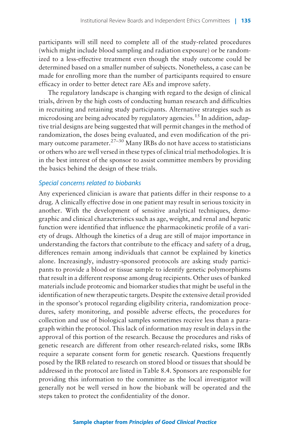[participants will still need to complete all of the study-related procedures](#page-25-0) [\(which might include blood sampling and radiation exposure\) or be random](#page-25-0)[ized to a less-effective treatment even though the study outcome could be](#page-25-0) [determined based on a smaller number of subjects. Nonetheless, a case can be](#page-25-0) [made for enrolling more than the number of participants required to ensure](#page-25-0) [efficacy in order to better detect rare AEs and improve safety.](#page-25-0)

The regulatory landscape is changing with regard to the design of clinical trials, driven by the high costs of conducting human research and difficulties in recruiting and retaining study participants. Alternative strategies such as microdosing are being advocated by regulatory agencies.<sup>[15](#page-25-0)</sup> [In addition, adap](#page-25-0)[tive trial designs are being suggested that will permit changes in the method of](#page-25-0) [randomization, the doses being evaluated, and even modification of the pri](#page-25-0)[mary](#page-25-0) [outcome](#page-25-0) [parameter.](#page-25-0)<sup>27–30</sup> [Many IRBs do not have access to statisticians](#page-25-0) [or others who are well versed in these types of clinical trial methodologies. It is](#page-25-0) [in the best interest of the sponsor to assist committee members by providing](#page-25-0) [the basics behind the design of these trials.](#page-25-0)

## Special concerns related to biobanks

Any experienced clinician is aware that patients differ in their response to a drug. A clinically effective dose in one patient may result in serious toxicity in another. With the development of sensitive analytical techniques, demographic and clinical characteristics such as age, weight, and renal and hepatic function were identified that influence the pharmacokinetic profile of a variety of drugs. Although the kinetics of a drug are still of major importance in understanding the factors that contribute to the efficacy and safety of a drug, differences remain among individuals that cannot be explained by kinetics alone. Increasingly, industry-sponsored protocols are asking study participants to provide a blood or tissue sample to identify genetic polymorphisms that result in a different response among drug recipients. Other uses of banked materials include proteomic and biomarker studies that might be useful in the identification of new therapeutic targets. Despite the extensive detail provided in the sponsor's protocol regarding eligibility criteria, randomization procedures, safety monitoring, and possible adverse effects, the procedures for collection and use of biological samples sometimes receive less than a paragraph within the protocol. This lack of information may result in delays in the approval of this portion of the research. Because the procedures and risks of genetic research are different from other research-related risks, some IRBs require a separate consent form for genetic research. Questions frequently posed by the IRB related to research on stored blood or tissues that should be addressed in the protocol are listed in [Table 8.4.](#page-15-0) Sponsors are responsible for providing this information to the committee as the local investigator will generally not be well versed in how the biobank will be operated and the steps taken to protect the confidentiality of the donor.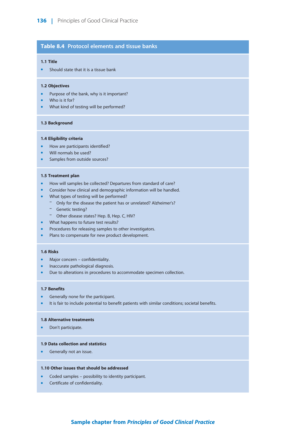## <span id="page-15-0"></span>Table 8.4 Protocol elements and tissue banks

#### 1.1 Title

Should state that it is a tissue bank

#### 1.2 Objectives

- Purpose of the bank, why is it important?
- Who is it for?
- What kind of testing will be performed?

#### 1.3 Background

#### 1.4 Eligibility criteria

- How are participants identified?
- Will normals be used?
- Samples from outside sources?

#### 1.5 Treatment plan

- How will samples be collected? Departures from standard of care?
- \* Consider how clinical and demographic information will be handled.
- What types of testing will be performed?
	- Only for the disease the patient has or unrelated? Alzheimer's?
	- Genetic testing?
	- Other disease states? Hep. B, Hep. C, HIV?
- What happens to future test results?
- Procedures for releasing samples to other investigators.
- Plans to compensate for new product development.

#### 1.6 Risks

- Major concern confidentiality.
- Inaccurate pathological diagnosis.
- Due to alterations in procedures to accommodate specimen collection.

#### 1.7 Benefits

- Generally none for the participant.
- It is fair to include potential to benefit patients with similar conditions; societal benefits.

#### 1.8 Alternative treatments

Don't participate.

#### 1.9 Data collection and statistics

• Generally not an issue.

#### 1.10 Other issues that should be addressed

- Coded samples possibility to identity participant.
- Certificate of confidentiality.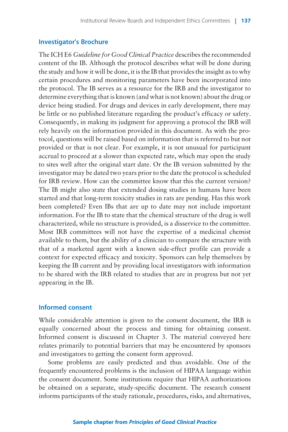## Investigator's Brochure

The ICH E6 Guideline for Good Clinical Practice describes the recommended content of the IB. Although the protocol describes what will be done during the study and how it will be done, it is the IB that provides the insight as to why certain procedures and monitoring parameters have been incorporated into the protocol. The IB serves as a resource for the IRB and the investigator to determine everything that is known (and what is not known) about the drug or device being studied. For drugs and devices in early development, there may be little or no published literature regarding the product's efficacy or safety. Consequently, in making its judgment for approving a protocol the IRB will rely heavily on the information provided in this document. As with the protocol, questions will be raised based on information that is referred to but not provided or that is not clear. For example, it is not unusual for participant accrual to proceed at a slower than expected rate, which may open the study to sites well after the original start date. Or the IB version submitted by the investigator may be dated two years prior to the date the protocol is scheduled for IRB review. How can the committee know that this the current version? The IB might also state that extended dosing studies in humans have been started and that long-term toxicity studies in rats are pending. Has this work been completed? Even IBs that are up to date may not include important information. For the IB to state that the chemical structure of the drug is well characterized, while no structure is provided, is a disservice to the committee. Most IRB committees will not have the expertise of a medicinal chemist available to them, but the ability of a clinician to compare the structure with that of a marketed agent with a known side-effect profile can provide a context for expected efficacy and toxicity. Sponsors can help themselves by keeping the IB current and by providing local investigators with information to be shared with the IRB related to studies that are in progress but not yet appearing in the IB.

## Informed consent

While considerable attention is given to the consent document, the IRB is equally concerned about the process and timing for obtaining consent. Informed consent is discussed in Chapter 3. The material conveyed here relates primarily to potential barriers that may be encountered by sponsors and investigators to getting the consent form approved.

Some problems are easily predicted and thus avoidable. One of the frequently encountered problems is the inclusion of HIPAA language within the consent document. Some institutions require that HIPAA authorizations be obtained on a separate, study-specific document. The research consent informs participants of the study rationale, procedures, risks, and alternatives,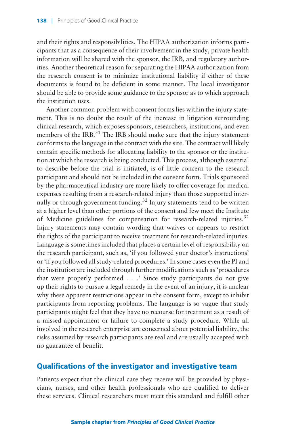and their rights and responsibilities. The HIPAA authorization informs participants that as a consequence of their involvement in the study, private health information will be shared with the sponsor, the IRB, and regulatory authorities. Another theoretical reason for separating the HIPAA authorization from the research consent is to minimize institutional liability if either of these documents is found to be deficient in some manner. The local investigator should be able to provide some guidance to the sponsor as to which approach the institution uses.

Another common problem with consent forms lies within the injury statement. This is no doubt the result of the increase in litigation surrounding clinical research, which exposes sponsors, researchers, institutions, and even members of the IRB.<sup>31</sup> [The IRB should make sure that the injury statement](#page-25-0) [conforms to the language in the contract with the site. The contract will likely](#page-25-0) [contain specific methods for allocating liability to the sponsor or the institu](#page-25-0)[tion at which the research is being conducted. This process, although essential](#page-25-0) [to describe before the trial is initiated, is of little concern to the research](#page-25-0) [participant and should not be included in the consent form. Trials sponsored](#page-25-0) [by the pharmaceutical industry are more likely to offer coverage for medical](#page-25-0) [expenses resulting from a research-related injury than those supported inter](#page-25-0)[nally](#page-26-0) [or](#page-26-0) [through](#page-26-0) [government](#page-26-0) funding.<sup>32</sup> [Injury statements tend to be written](#page-26-0) [at a higher level than other portions of the consent and few meet the Institute](#page-26-0) [of](#page-26-0) [Medicine](#page-26-0) [guidelines](#page-26-0) [for](#page-26-0) [compensation](#page-26-0) for [research-related](#page-26-0) [injuries.](#page-26-0)<sup>32</sup> [Injury statements may contain wording that waives or appears to restrict](#page-26-0) [the rights of the participant to receive treatment for research-related injuries.](#page-26-0) [Language is sometimes included that places a certain level of responsibility on](#page-26-0) [the research participant, such as,](#page-26-0) ['if you followed your doctor's instructions'](#page-26-0) [or 'if you followed all study-related procedures.' In some cases even the PI and](#page-26-0) [the institution are included through further modifications such as 'procedures](#page-26-0) [that were properly performed](#page-26-0) ... [.](#page-26-0)' [Since study participants do not give](#page-26-0) [up their rights to pursue a legal remedy in the event of an injury, it is unclear](#page-26-0) [why these apparent restrictions appear in the consent form, except to inhibit](#page-26-0) [participants from reporting problems. The language is so vague that study](#page-26-0) [participants might feel that they have no recourse for treatment as a result of](#page-26-0) [a missed appointment or failure to complete a study procedure. While all](#page-26-0) [involved in the research enterprise are concerned about potential liability, the](#page-26-0) [risks assumed by research participants are real and are usually accepted with](#page-26-0) [no guarantee of benefit.](#page-26-0)

## Qualifications of the investigator and investigative team

Patients expect that the clinical care they receive will be provided by physicians, nurses, and other health professionals who are qualified to deliver these services. Clinical researchers must meet this standard and fulfill other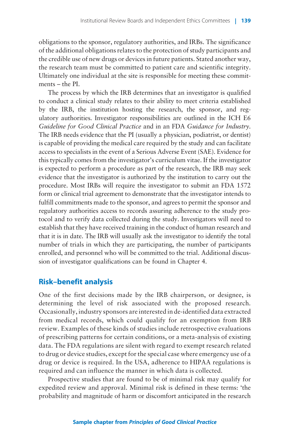obligations to the sponsor, regulatory authorities, and IRBs. The significance of the additional obligations relates to the protection of study participants and the credible use of new drugs or devices in future patients. Stated another way, the research team must be committed to patient care and scientific integrity. Ultimately one individual at the site is responsible for meeting these commitments – the PI.

The process by which the IRB determines that an investigator is qualified to conduct a clinical study relates to their ability to meet criteria established by the IRB, the institution hosting the research, the sponsor, and regulatory authorities. Investigator responsibilities are outlined in the ICH E6 Guideline for Good Clinical Practice and in an FDA Guidance for Industry. The IRB needs evidence that the PI (usually a physician, podiatrist, or dentist) is capable of providing the medical care required by the study and can facilitate access to specialists in the event of a Serious Adverse Event (SAE). Evidence for this typically comes from the investigator's curriculum vitae. If the investigator is expected to perform a procedure as part of the research, the IRB may seek evidence that the investigator is authorized by the institution to carry out the procedure. Most IRBs will require the investigator to submit an FDA 1572 form or clinical trial agreement to demonstrate that the investigator intends to fulfill commitments made to the sponsor, and agrees to permit the sponsor and regulatory authorities access to records assuring adherence to the study protocol and to verify data collected during the study. Investigators will need to establish that they have received training in the conduct of human research and that it is in date. The IRB will usually ask the investigator to identify the total number of trials in which they are participating, the number of participants enrolled, and personnel who will be committed to the trial. Additional discussion of investigator qualifications can be found in Chapter 4.

## Risk–benefit analysis

One of the first decisions made by the IRB chairperson, or designee, is determining the level of risk associated with the proposed research. Occasionally, industry sponsors are interested in de-identified data extracted from medical records, which could qualify for an exemption from IRB review. Examples of these kinds of studies include retrospective evaluations of prescribing patterns for certain conditions, or a meta-analysis of existing data. The FDA regulations are silent with regard to exempt research related to drug or device studies, except for the special case where emergency use of a drug or device is required. In the USA, adherence to HIPAA regulations is required and can influence the manner in which data is collected.

Prospective studies that are found to be of minimal risk may qualify for expedited review and approval. Minimal risk is defined in these terms: 'the probability and magnitude of harm or discomfort anticipated in the research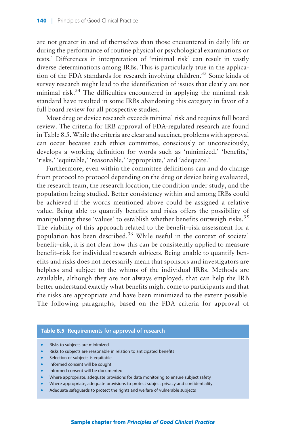are not greater in and of themselves than those encountered in daily life or during the performance of routine physical or psychological examinations or tests.' Differences in interpretation of 'minimal risk' can result in vastly diverse determinations among IRBs. This is particularly true in the applica-tion of the FDA standards for research involving children.<sup>[33](#page-26-0)</sup> [Some kinds of](#page-26-0) [survey research might lead to the identification of issues that clearly are not](#page-26-0) [minimal](#page-26-0) [risk.34](#page-26-0) [The difficulties encountered in applying the minimal risk](#page-26-0) [standard have resulted in some IRBs abandoning this category in favor of a](#page-26-0) [full board review for all prospective studies.](#page-26-0)

Most drug or device research exceeds minimal risk and requires full board review. The criteria for IRB approval of FDA-regulated research are found in Table 8.5. While the criteria are clear and succinct, problems with approval can occur because each ethics committee, consciously or unconsciously, develops a working definition for words such as 'minimized,' 'benefits,' 'risks,' 'equitable,' 'reasonable,' 'appropriate,' and 'adequate.'

Furthermore, even within the committee definitions can and do change from protocol to protocol depending on the drug or device being evaluated, the research team, the research location, the condition under study, and the population being studied. Better consistency within and among IRBs could be achieved if the words mentioned above could be assigned a relative value. Being able to quantify benefits and risks offers the possibility of manipulating these 'values' to establish whether benefits outweigh risks.<sup>[35](#page-26-0)</sup> [The viability of this approach related to the benefit–risk assessment for a](#page-26-0) [population](#page-26-0) [has](#page-26-0) [been](#page-26-0) [described.](#page-26-0)<sup>36</sup> [While useful in the context of societal](#page-26-0) benefit–risk, it is not clear how this [can be consistently applied to measure](#page-26-0) [benefit–risk for individual research subjects. Being unable to quantify ben](#page-26-0)[efits and risks does not necessarily mean that sponsors and investigators are](#page-26-0) [helpless and subject to the whims of the individual IRBs. Methods are](#page-26-0) [available, although they are not always employed, that can help the IRB](#page-26-0) [better understand exactly what benefits might come to participants and that](#page-26-0) [the risks are appropriate and have been minimized to the extent possible.](#page-26-0) [The following paragraphs, based on the FDA criteria for approval of](#page-26-0)

## Table 8.5 Requirements for approval of research

- Risks to subjects are minimized
- Risks to subjects are reasonable in relation to anticipated benefits
- Selection of subjects is equitable
- Informed consent will be sought
- Informed consent will be documented
- Where appropriate, adequate provisions for data monitoring to ensure subject safety
- \* Where appropriate, adequate provisions to protect subject privacy and confidentiality
- Adequate safeguards to protect the rights and welfare of vulnerable subjects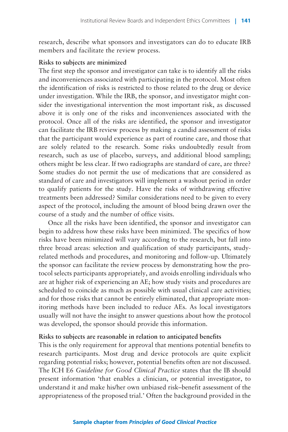[research, describe what sponsors and](#page-26-0) investigators can do to educate IRB [members and facilitate the review process.](#page-26-0)

## Risks to subjects are minimized

The first step the sponsor and investigator can take is to identify all the risks and inconveniences associated with participating in the protocol. Most often the identification of risks is restricted to those related to the drug or device under investigation. While the IRB, the sponsor, and investigator might consider the investigational intervention the most important risk, as discussed above it is only one of the risks and inconveniences associated with the protocol. Once all of the risks are identified, the sponsor and investigator can facilitate the IRB review process by making a candid assessment of risks that the participant would experience as part of routine care, and those that are solely related to the research. Some risks undoubtedly result from research, such as use of placebo, surveys, and additional blood sampling; others might be less clear. If two radiographs are standard of care, are three? Some studies do not permit the use of medications that are considered as standard of care and investigators will implement a washout period in order to qualify patients for the study. Have the risks of withdrawing effective treatments been addressed? Similar considerations need to be given to every aspect of the protocol, including the amount of blood being drawn over the course of a study and the number of office visits.

Once all the risks have been identified, the sponsor and investigator can begin to address how these risks have been minimized. The specifics of how risks have been minimized will vary according to the research, but fall into three broad areas: selection and qualification of study participants, studyrelated methods and procedures, and monitoring and follow-up. Ultimately the sponsor can facilitate the review process by demonstrating how the protocol selects participants appropriately, and avoids enrolling individuals who are at higher risk of experiencing an AE; how study visits and procedures are scheduled to coincide as much as possible with usual clinical care activities; and for those risks that cannot be entirely eliminated, that appropriate monitoring methods have been included to reduce AEs. As local investigators usually will not have the insight to answer questions about how the protocol was developed, the sponsor should provide this information.

## Risks to subjects are reasonable in relation to anticipated benefits

This is the only requirement for approval that mentions potential benefits to research participants. Most drug and device protocols are quite explicit regarding potential risks; however, potential benefits often are not discussed. The ICH E6 Guideline for Good Clinical Practice states that the IB should present information 'that enables a clinician, or potential investigator, to understand it and make his/her own unbiased risk–benefit assessment of the appropriateness of the proposed trial.' Often the background provided in the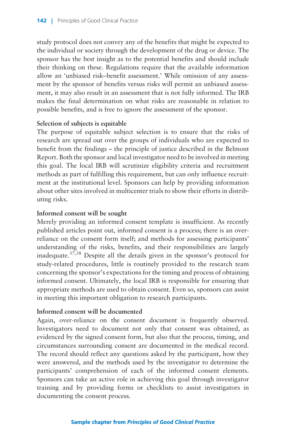study protocol does not convey any of the benefits that might be expected to the individual or society through the development of the drug or device. The sponsor has the best insight as to the potential benefits and should include their thinking on these. Regulations require that the available information allow an 'unbiased risk–benefit assessment.' While omission of any assessment by the sponsor of benefits versus risks will permit an unbiased assessment, it may also result in an assessment that is not fully informed. The IRB makes the final determination on what risks are reasonable in relation to possible benefits, and is free to ignore the assessment of the sponsor.

## Selection of subjects is equitable

The purpose of equitable subject selection is to ensure that the risks of research are spread out over the groups of individuals who are expected to benefit from the findings – the principle of justice described in the Belmont Report. Both the sponsor and local investigator need to be involved in meeting this goal. The local IRB will scrutinize eligibility criteria and recruitment methods as part of fulfilling this requirement, but can only influence recruitment at the institutional level. Sponsors can help by providing information about other sites involved in multicenter trials to show their efforts in distributing risks.

## Informed consent will be sought

Merely providing an informed consent template is insufficient. As recently published articles point out, informed consent is a process; there is an overreliance on the consent form itself; and methods for assessing participants' understanding of the risks, benefits, and their responsibilities are largely inadequate. $37,38$  [Despite all the details given in the sponsor's protocol for](#page-26-0) [study-related procedures, little is routinely provided to the research team](#page-26-0) [concerning the sponsor's expectations for the timing and process of obtaining](#page-26-0) [informed consent. Ultimately, the local IRB is responsible for ensuring that](#page-26-0) [appropriate methods are used to obtain consent. Even so, sponsors can assist](#page-26-0) [in meeting this important obligation to research participants.](#page-26-0)

## Informed consent will be documented

Again, over-reliance on the consent document is frequently observed. Investigators need to document not only that consent was obtained, as evidenced by the signed consent form, but also that the process, timing, and circumstances surrounding consent are documented in the medical record. The record should reflect any questions asked by the participant, how they were answered, and the methods used by the investigator to determine the participants' comprehension of each of the informed consent elements. Sponsors can take an active role in achieving this goal through investigator training and by providing forms or checklists to assist investigators in documenting the consent process.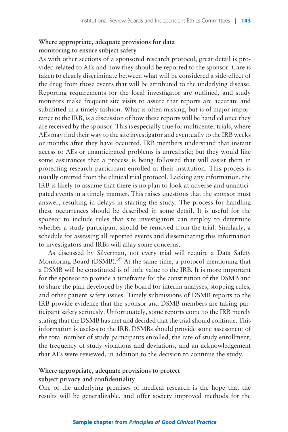## Where appropriate, adequate provisions for data monitoring to ensure subject safety

As with other sections of a sponsored research protocol, great detail is provided related to AEs and how they should be reported to the sponsor. Care is taken to clearly discriminate between what will be considered a side-effect of the drug from those events that will be attributed to the underlying disease. Reporting requirements for the local investigator are outlined, and study monitors make frequent site visits to assure that reports are accurate and submitted in a timely fashion. What is often missing, but is of major importance to the IRB, is a discussion of how these reports will be handled once they are received by the sponsor. This is especially true for multicenter trials, where AEs may find their way to the site investigator and eventually to the IRB weeks or months after they have occurred. IRB members understand that instant access to AEs or unanticipated problems is unrealistic; but they would like some assurances that a process is being followed that will assist them in protecting research participant enrolled at their institution. This process is usually omitted from the clinical trial protocol. Lacking any information, the IRB is likely to assume that there is no plan to look at adverse and unanticipated events in a timely manner. This raises questions that the sponsor must answer, resulting in delays in starting the study. The process for handling these occurrences should be described in some detail. It is useful for the sponsor to include rules that site investigators can employ to determine whether a study participant should be removed from the trial. Similarly, a schedule for assessing all reported events and disseminating this information to investigators and IRBs will allay some concerns.

As discussed by Silverman, not every trial will require a Data Safety Monitoring Board  $(DSMB)$ <sup>[39](#page-26-0)</sup> [At the same time, a protocol mentioning that](#page-26-0) [a DSMB will be constituted is of little value to the IRB. It is more important](#page-26-0) [for the sponsor to provide a timeframe for the constitution of the DSMB and](#page-26-0) [to share the plan developed by the board for interim analyses, stopping rules,](#page-26-0) [and other patient safety issues. Timely submissions of DSMB reports to the](#page-26-0) [IRB provide evidence that the sponsor and DSMB members are taking par](#page-26-0)[ticipant safety seriously. Unfortunately, some reports come to the IRB merely](#page-26-0) [stating that the DSMB has met and decided that the trial should continue. This](#page-26-0) [information is useless to the IRB. DSMBs should provide some assessment of](#page-26-0) [the total number of study participants enrolled, the rate of study enrollment,](#page-26-0) [the frequency of study violations and deviations, and an acknowledgement](#page-26-0) [that AEs were reviewed, in addition to the decision to continue the study.](#page-26-0)

## Where appropriate, adequate provisions to protect subject privacy and confidentiality

One of the underlying premises of medical research is the hope that the results will be generalizable, and offer society improved methods for the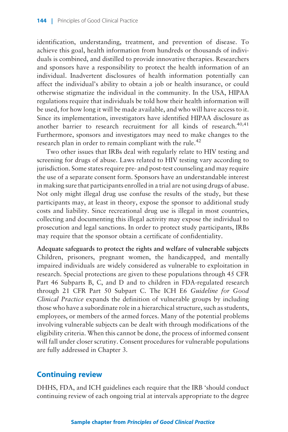identification, understanding, treatment, and prevention of disease. To achieve this goal, health information from hundreds or thousands of individuals is combined, and distilled to provide innovative therapies. Researchers and sponsors have a responsibility to protect the health information of an individual. Inadvertent disclosures of health information potentially can affect the individual's ability to obtain a job or health insurance, or could otherwise stigmatize the individual in the community. In the USA, HIPAA regulations require that individuals be told how their health information will be used, for how long it will be made available, and who will have access to it. Since its implementation, investigators have identified HIPAA disclosure as another barrier to research recruitment for all kinds of research.<sup>[40,41](#page-26-0)</sup> [Furthermore, sponsors and investigators may need to make changes to the](#page-26-0) [research](#page-26-0) [plan](#page-26-0) [in](#page-26-0) [order](#page-26-0) [to](#page-26-0) [remain](#page-26-0) [compliant](#page-26-0) [with](#page-26-0) [the](#page-26-0) [rule.](#page-26-0)<sup>42</sup>

Two other issues that IRBs deal with regularly relate to HIV testing and screening for drugs of abuse. Laws related to HIV testing vary according to jurisdiction. Some states require pre- and post-test counseling and may require the use of a separate consent form. Sponsors have an understandable interest in making sure that participants enrolled in a trial are not using drugs of abuse. Not only might illegal drug use confuse the results of the study, but these participants may, at least in theory, expose the sponsor to additional study costs and liability. Since recreational drug use is illegal in most countries, collecting and documenting this illegal activity may expose the individual to prosecution and legal sanctions. In order to protect study participants, IRBs may require that the sponsor obtain a certificate of confidentiality.

Adequate safeguards to protect the rights and welfare of vulnerable subjects Children, prisoners, pregnant women, the handicapped, and mentally impaired individuals are widely considered as vulnerable to exploitation in research. Special protections are given to these populations through 45 CFR Part 46 Subparts B, C, and D and to children in FDA-regulated research through 21 CFR Part 50 Subpart C. The ICH E6 Guideline for Good Clinical Practice expands the definition of vulnerable groups by including those who have a subordinate role in a hierarchical structure, such as students, employees, or members of the armed forces. Many of the potential problems involving vulnerable subjects can be dealt with through modifications of the eligibility criteria. When this cannot be done, the process of informed consent will fall under closer scrutiny. Consent procedures for vulnerable populations are fully addressed in Chapter 3.

## Continuing review

DHHS, FDA, and ICH guidelines each require that the IRB 'should conduct continuing review of each ongoing trial at intervals appropriate to the degree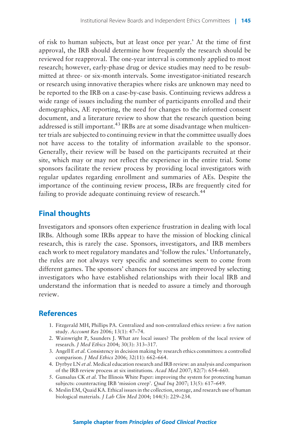<span id="page-24-0"></span>of risk to human subjects, but at least once per year.' At the time of first approval, the IRB should determine how frequently the research should be reviewed for reapproval. The one-year interval is commonly applied to most research; however, early-phase drug or device studies may need to be resubmitted at three- or six-month intervals. Some investigator-initiated research or research using innovative therapies where risks are unknown may need to be reported to the IRB on a case-by-case basis. Continuing reviews address a wide range of issues including the number of participants enrolled and their demographics, AE reporting, the need for changes to the informed consent document, and a literature review to show that the research question being addressed is still important.<sup>[43](#page-26-0)</sup> [IRBs are at some disadvantage when multicen](#page-26-0)[ter trials are subjected to continuing review in that the committee usually does](#page-26-0) [not have access to the totality of information available to the sponsor.](#page-26-0) [Generally, their review will be based on the participants recruited at their](#page-26-0) [site, which may or may not reflect the experience in the entire trial. Some](#page-26-0) [sponsors facilitate the review process by providing local investigators with](#page-26-0) [regular updates regarding enrollment and summaries of AEs. Despite the](#page-26-0) [importance of the continuing review process, IRBs are frequently cited for](#page-26-0) [failing](#page-26-0) [to](#page-26-0) [provide](#page-26-0) [adequate](#page-26-0) [continuing](#page-26-0) [review](#page-26-0) [of](#page-26-0) [research.](#page-26-0)<sup>44</sup>

## Final thoughts

Investigators and sponsors often experience frustration in dealing with local IRBs. Although some IRBs appear to have the mission of blocking clinical research, this is rarely the case. Sponsors, investigators, and IRB members each work to meet regulatory mandates and 'follow the rules.' Unfortunately, the rules are not always very specific and sometimes seem to come from different games. The sponsors' chances for success are improved by selecting investigators who have established relationships with their local IRB and understand the information that is needed to assure a timely and thorough review.

## **References**

- 1. Fitzgerald MH, Phillips PA. Centralized and non-centralized ethics review: a five nation study. Account Res 2006; 13(1): 47–74.
- 2. Wainwright P, Saunders J. What are local issues? The problem of the local review of research. J Med Ethics 2004; 30(3): 313–317.
- 3. Angell E et al. Consistency in decision making by research ethics committees: a controlled comparison. J Med Ethics 2006; 32(11): 662–664.
- 4. Dyrbye LN et al. Medical education research and IRB review: an analysis and comparison of the IRB review process at six institutions. Acad Med 2007; 82(7): 654–660.
- 5. Gunsalus CK et al. The Illinois White Paper: improving the system for protecting human subjects: counteracting IRB 'mission creep'. Qual Inq 2007; 13(5): 617-649.
- 6. Meslin EM, Quaid KA. Ethical issues in the collection, storage, and research use of human biological materials. J Lab Clin Med 2004; 144(5): 229–234.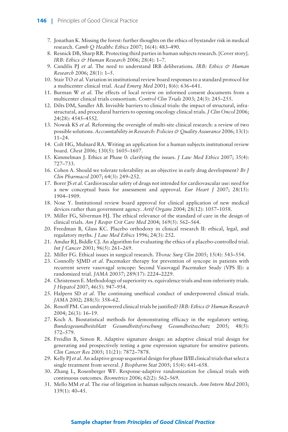- <span id="page-25-0"></span>7. Jonathan K. Missing the forest: further thoughts on the ethics of bystander risk in medical research. Camb Q Healthc Ethics 2007; 16(4): 483–490.
- 8. Resnick DB, Sharp RR. Protecting third parties in human subjects research. [Cover story]. IRB: Ethics & Human Research 2006; 28(4): 1–7.
- 9. Candilis PJ et al. The need to understand IRB deliberations. IRB: Ethics  $\mathcal O$  Human Research 2006; 28(1): 1–5.
- 10. Stair TO et al. Variation in institutional review board responses to a standard protocol for a multicenter clinical trial. Acad Emerg Med 2001; 8(6): 636–641.
- 11. Burman W et al. The effects of local review on informed consent documents from a multicenter clinical trials consortium. Control Clin Trials 2003; 24(3): 245–255.
- 12. Dilts DM, Sandler AB. Invisible barriers to clinical trials: the impact of structural, infrastructural, and procedural barriers to opening oncology clinical trials. *J Clin Oncol* 2006; 24(28): 4545–4552.
- 13. Nowak KS et al. Reforming the oversight of multi-site clinical research: a review of two possible solutions. Accountability in Research: Policies & Quality Assurance 2006; 13(1): 11–24.
- 14. Colt HG, Mulnard RA. Writing an application for a human subjects institutional review board. Chest 2006; 130(5): 1605–1607.
- 15. Kimmelman J. Ethics at Phase 0: clarifying the issues. *J Law Med Ethics* 2007; 35(4): 727–733.
- 16. Cohen A. Should we tolerate tolerability as an objective in early drug development? Br J Clin Pharmacol 2007; 64(3): 249–252.
- 17. Borer JS et al. Cardiovascular safety of drugs not intended for cardiovascular use: need for a new conceptual basis for assessment and approval. Eur Heart J 2007; 28(15): 1904–1909.
- 18. Nose Y. Institutional review board approval for clinical application of new medical devices rather than government agency. Artif Organs 2004; 28(12): 1057–1058.
- 19. Miller FG, Silverman HJ. The ethical relevance of the standard of care in the design of clinical trials. Am J Respir Crit Care Med 2004; 169(5): 562–564.
- 20. Freedman B, Glass KC. Placebo orthodoxy in clinical research II: ethical, legal, and regulatory myths. *J Law Med Ethics* 1996; 24(3): 252.
- 21. Amdur RJ, Biddle CJ. An algorithm for evaluating the ethics of a placebo-controlled trial. Int J Cancer 2001; 96(5): 261–269.
- 22. Miller FG. Ethical issues in surgical research. Thorac Surg Clin 2005; 15(4): 543–554.
- 23. Connolly SJMD et al. Pacemaker therapy for prevention of syncope in patients with recurrent severe vasovagal syncope: Second Vasovagal Pacemaker Study (VPS II): a randomized trial. JAMA 20037; 289(17): 2224–2229.
- 24. Christensen E.Methodology of superiority vs. equivalence trials and non-inferiority trials. J Hepatol 2007; 46(5): 947–954.
- 25. Halpern SD et al. The continuing unethical conduct of underpowered clinical trials. JAMA 2002; 288(3): 358–62.
- 26. Rosoff PM. Can underpowered clinical trials be justified? IRB: Ethics & Human Research 2004; 26(3): 16–19.
- 27. Koch A. Biostatistical methods for demonstrating efficacy in the regulatory setting. Bundesgesundheitsblatt Gesundheitsforschung Gesundheitsschutz 2005; 48(5): 572–579.
- 28. Freidlin B, Simon R. Adaptive signature design: an adaptive clinical trial design for generating and prospectively testing a gene expression signature for sensitive patients. Clin Cancer Res 2005; 11(21): 7872–7878.
- 29. Kelly PJ et al. An adaptive group sequential design for phase II/III clinical trials that select a single treatment from several. *J Biopharm Stat* 2005; 15(4): 641–658.
- 30. Zhang L, Rosenberger WF. Response-adaptive randomization for clinical trials with continuous outcomes. Biometrics 2006; 62(2): 562–569.
- 31. Mello MM et al. The rise of litigation in human subjects research. Ann Intern Med 2003; 139(1): 40–45.